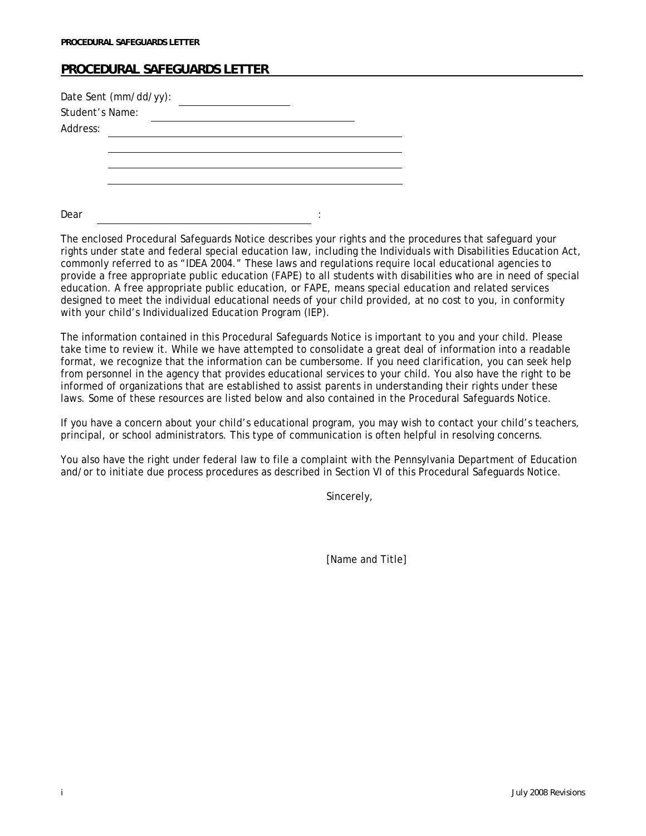## **PROCEDURAL SAFEGUARDS LETTER**

| Student's Name: | Date Sent (mm/dd/yy): |  |   |  |
|-----------------|-----------------------|--|---|--|
| Address:        |                       |  |   |  |
|                 |                       |  |   |  |
|                 |                       |  |   |  |
|                 |                       |  |   |  |
|                 |                       |  |   |  |
| Dear            |                       |  | ٠ |  |

The enclosed Procedural Safeguards Notice describes your rights and the procedures that safeguard your rights under state and federal special education law, including the Individuals with Disabilities Education Act, commonly referred to as "IDEA 2004." These laws and regulations require local educational agencies to provide a free appropriate public education (FAPE) to all students with disabilities who are in need of special education. A free appropriate public education, or FAPE, means special education and related services designed to meet the individual educational needs of your child provided, at no cost to you, in conformity with your child's Individualized Education Program (IEP).

The information contained in this Procedural Safeguards Notice is important to you and your child. Please take time to review it. While we have attempted to consolidate a great deal of information into a readable format, we recognize that the information can be cumbersome. If you need clarification, you can seek help from personnel in the agency that provides educational services to your child. You also have the right to be informed of organizations that are established to assist parents in understanding their rights under these laws. Some of these resources are listed below and also contained in the Procedural Safeguards Notice.

If you have a concern about your child's educational program, you may wish to contact your child's teachers, principal, or school administrators. This type of communication is often helpful in resolving concerns.

You also have the right under federal law to file a complaint with the Pennsylvania Department of Education and/or to initiate due process procedures as described in Section VI of this Procedural Safeguards Notice.

Sincerely,

[Name and Title]